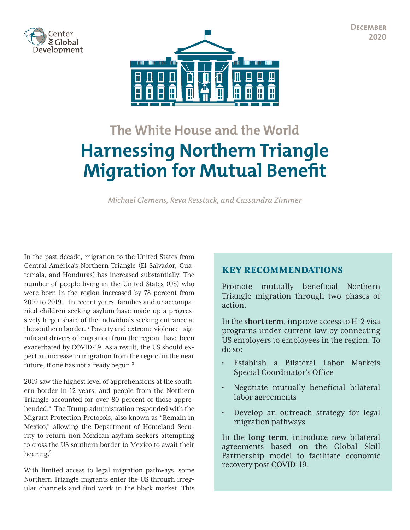**December 2020**

<span id="page-0-0"></span>



# **The White House and the World Harnessing Northern Triangle Migration for Mutual Benefit**

*Michael Clemens, Reva Resstack, and Cassandra Zimmer*

In the past decade, migration to the United States from Central America's Northern Triangle (El Salvador, Guatemala, and Honduras) has increased substantially. The number of people living in the United States (US) who were born in the region increased by 78 percent from 20[1](#page-7-0)0 to 2019.<sup>1</sup> In recent years, families and unaccompanied children seeking asylum have made up a progressively larger share of the individuals seeking entrance at the southern border.<sup>[2](#page-7-0)</sup> Poverty and extreme violence—significant drivers of migration from the region—have been exacerbated by COVID-19. As a result, the US should expect an increase in migration from the region in the near future, if one has not already begun.<sup>3</sup>

2019 saw the highest level of apprehensions at the southern border in 12 years, and people from the Northern Triangle accounted for over 80 percent of those apprehended[.4](#page-7-0) The Trump administration responded with the Migrant Protection Protocols, also known as "Remain in Mexico," allowing the Department of Homeland Security to return non-Mexican asylum seekers attempting to cross the US southern border to Mexico to await their hearing.[5](#page-7-0)

With limited access to legal migration pathways, some Northern Triangle migrants enter the US through irregular channels and find work in the black market. This

# KEY RECOMMENDATIONS

Promote mutually beneficial Northern Triangle migration through two phases of action.

In the **short term**, improve access to H-2 visa programs under current law by connecting US employers to employees in the region. To do so:

- Establish a Bilateral Labor Markets Special Coordinator's Office
- Negotiate mutually beneficial bilateral labor agreements
- Develop an outreach strategy for legal migration pathways

In the **long term**, introduce new bilateral agreements based on the Global Skill Partnership model to facilitate economic recovery post COVID-19.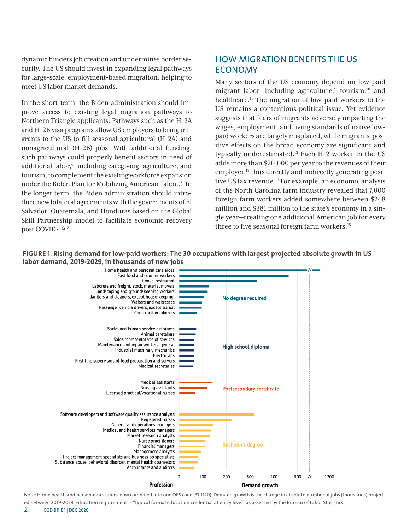<span id="page-1-0"></span>dynamic hinders job creation and undermines border security. The US should invest in expanding legal pathways for large-scale, employment-based migration, helping to meet US labor market demands.

In the short-term, the Biden administration should improve access to existing legal migration pathways to Northern Triangle applicants. Pathways such as the H-2A and H-2B visa programs allow US employers to bring migrants to the US to fill seasonal agricultural (H-2A) and nonagricultural (H-2B) jobs. With additional funding, such pathways could properly benefit sectors in need of additional labor,<sup>[6](#page-7-0)</sup> including caregiving, agriculture, and tourism, to complement the existing workforce expansion under the Biden Plan for Mobilizing American Talent.<sup>[7](#page-7-0)</sup> In the longer term, the Biden administration should introduce new bilateral agreements with the governments of El Salvador, Guatemala, and Honduras based on the Global Skill Partnership model to facilitate economic recovery post COVID-19.<sup>8</sup>

# HOW MIGRATION BENEFITS THE US ECONOMY

Many sectors of the US economy depend on low-paid migrant labor, including agriculture,<sup>9</sup> tourism,<sup>10</sup> and healthcare[.11](#page-7-0) The migration of low-paid workers to the US remains a contentious political issue. Yet evidence suggests that fears of migrants adversely impacting the wages, employment, and living standards of native lowpaid workers are largely misplaced, while migrants' positive effects on the broad economy are significant and typically underestimated[.12](#page-7-0) Each H-2 worker in the US adds more than \$20,000 per year to the revenues of their employer,<sup>13</sup> thus directly and indirectly generating positive US tax revenue.<sup>14</sup> For example, an economic analysis of the North Carolina farm industry revealed that 7,000 foreign farm workers added somewhere between \$248 million and \$381 million to the state's economy in a single year—creating one additional American job for every three to five seasonal foreign farm workers.<sup>[15](#page-7-0)</sup>



**FIGURE 1. Rising demand for low-paid workers: The 30 occupations with largest projected absolute growth in US labor demand, 2019-2029, in thousands of new jobs**

Note: Home health and personal care aides now combined into one OES code (31-1120). Demand growth is the change in absolute number of jobs (thousands) projected between 2019-2029. Education requirement is "typical formal education credential at entry level" as assessed by the Bureau of Labor Statistics.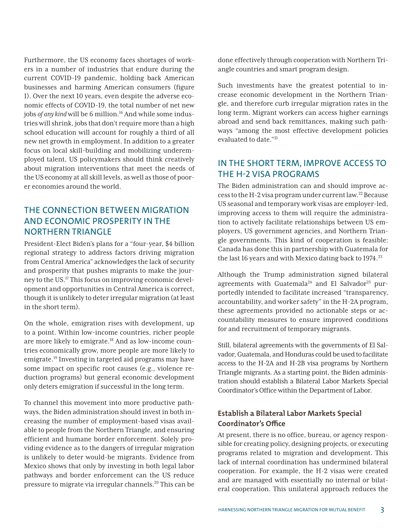<span id="page-2-0"></span>Furthermore, the US economy faces shortages of workers in a number of industries that endure during the current COVID-19 pandemic, holding back American businesses and harming American consumers (figure 1). Over the next 10 years, even despite the adverse economic effects of COVID-19, the total number of net new jobs *of any kind* will be 6 million.<sup>16</sup> And while some industries will shrink, jobs that don't require more than a high school education will account for roughly a third of all new net growth in employment. In addition to a greater focus on local skill-building and mobilizing underemployed talent, US policymakers should think creatively about migration interventions that meet the needs of the US economy at all skill levels, as well as those of poorer economies around the world.

# THE CONNECTION BETWEEN MIGRATION AND ECONOMIC PROSPERITY IN THE NORTHERN TRIANGLE

President-Elect Biden's plans for a "four-year, \$4 billion regional strategy to address factors driving migration from Central America" acknowledges the lack of security and prosperity that pushes migrants to make the journey to the US.[17](#page-7-0) This focus on improving economic development and opportunities in Central America is correct, though it is unlikely to deter irregular migration (at least in the short term).

On the whole, emigration rises with development, up to a point. Within low-income countries, richer people are more likely to emigrate.<sup>18</sup> And as low-income countries economically grow, more people are more likely to emigrate.[19](#page-7-0) Investing in targeted aid programs may have some impact on specific root causes (e.g., violence reduction programs) but general economic development only deters emigration if successful in the long term.

To channel this movement into more productive pathways, the Biden administration should invest in both increasing the number of employment-based visas available to people from the Northern Triangle, and ensuring efficient and humane border enforcement. Solely providing evidence as to the dangers of irregular migration is unlikely to deter would-be migrants. Evidence from Mexico shows that only by investing in both legal labor pathways and border enforcement can the US reduce pressure to migrate via irregular channels[.20](#page-7-0) This can be

done effectively through cooperation with Northern Triangle countries and smart program design.

Such investments have the greatest potential to increase economic development in the Northern Triangle, and therefore curb irregular migration rates in the long term. Migrant workers can access higher earnings abroad and send back remittances, making such pathways "among the most effective development policies evaluated to date."[21](#page-7-0)

# IN THE SHORT TERM, IMPROVE ACCESS TO THE H-2 VISA PROGRAMS

The Biden administration can and should improve access to the H-2 visa program under current law.[22](#page-7-0) Because US seasonal and temporary work visas are employer-led, improving access to them will require the administration to actively facilitate relationships between US employers, US government agencies, and Northern Triangle governments. This kind of cooperation is feasible: Canada has done this in partnership with Guatemala for the last 16 years and with Mexico dating back to  $1974.<sup>23</sup>$  $1974.<sup>23</sup>$  $1974.<sup>23</sup>$ 

Although the Trump administration signed bilateral agreements with Guatemala<sup>[24](#page-7-0)</sup> and El Salvador<sup>25</sup> purportedly intended to facilitate increased "transparency, accountability, and worker safety" in the H-2A program, these agreements provided no actionable steps or accountability measures to ensure improved conditions for and recruitment of temporary migrants.

Still, bilateral agreements with the governments of El Salvador, Guatemala, and Honduras could be used to facilitate access to the H-2A and H-2B visa programs by Northern Triangle migrants. As a starting point, the Biden administration should establish a Bilateral Labor Markets Special Coordinator's Office within the Department of Labor.

## **Establish a Bilateral Labor Markets Special Coordinator's Office**

At present, there is no office, bureau, or agency responsible for creating policy, designing projects, or executing programs related to migration and development. This lack of internal coordination has undermined bilateral cooperation. For example, the H-2 visas were created and are managed with essentially no internal or bilateral cooperation. This unilateral approach reduces the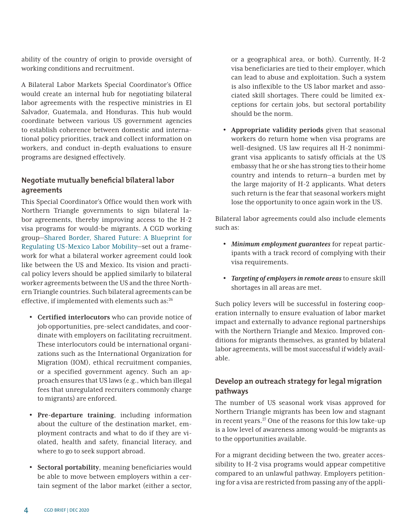<span id="page-3-0"></span>ability of the country of origin to provide oversight of working conditions and recruitment.

A Bilateral Labor Markets Special Coordinator's Office would create an internal hub for negotiating bilateral labor agreements with the respective ministries in El Salvador, Guatemala, and Honduras. This hub would coordinate between various US government agencies to establish coherence between domestic and international policy priorities, track and collect information on workers, and conduct in-depth evaluations to ensure programs are designed effectively.

#### **Negotiate mutually beneficial bilateral labor agreements**

This Special Coordinator's Office would then work with Northern Triangle governments to sign bilateral labor agreements, thereby improving access to the H-2 visa programs for would-be migrants. A CGD working group[—Shared Border, Shared Future: A Blueprint for](https://www.cgdev.org/working-group/shared-future) [Regulating US-Mexico Labor Mobility](https://www.cgdev.org/working-group/shared-future)—set out a framework for what a bilateral worker agreement could look like between the US and Mexico. Its vision and practical policy levers should be applied similarly to bilateral worker agreements between the US and the three Northern Triangle countries. Such bilateral agreements can be effective, if implemented with elements such as: $^{26}$ 

- **Certified interlocutors** who can provide notice of job opportunities, pre-select candidates, and coordinate with employers on facilitating recruitment. These interlocutors could be international organizations such as the International Organization for Migration (IOM), ethical recruitment companies, or a specified government agency. Such an approach ensures that US laws (e.g., which ban illegal fees that unregulated recruiters commonly charge to migrants) are enforced.
- **Pre-departure training**, including information about the culture of the destination market, employment contracts and what to do if they are violated, health and safety, financial literacy, and where to go to seek support abroad.
- **Sectoral portability**, meaning beneficiaries would be able to move between employers within a certain segment of the labor market (either a sector,

or a geographical area, or both). Currently, H-2 visa beneficiaries are tied to their employer, which can lead to abuse and exploitation. Such a system is also inflexible to the US labor market and associated skill shortages. There could be limited exceptions for certain jobs, but sectoral portability should be the norm.

• **Appropriate validity periods** given that seasonal workers do return home when visa programs are well-designed. US law requires all H-2 nonimmigrant visa applicants to satisfy officials at the US embassy that he or she has strong ties to their home country and intends to return—a burden met by the large majority of H-2 applicants. What deters such return is the fear that seasonal workers might lose the opportunity to once again work in the US.

Bilateral labor agreements could also include elements such as:

- *Minimum employment guarantees* for repeat participants with a track record of complying with their visa requirements.
- *Targeting of employers in remote areas* to ensure skill shortages in all areas are met.

Such policy levers will be successful in fostering cooperation internally to ensure evaluation of labor market impact and externally to advance regional partnerships with the Northern Triangle and Mexico. Improved conditions for migrants themselves, as granted by bilateral labor agreements, will be most successful if widely available.

## **Develop an outreach strategy for legal migration pathways**

The number of US seasonal work visas approved for Northern Triangle migrants has been low and stagnant in recent years.[27](#page-8-0) One of the reasons for this low take-up is a low level of awareness among would-be migrants as to the opportunities available.

For a migrant deciding between the two, greater accessibility to H-2 visa programs would appear competitive compared to an unlawful pathway. Employers petitioning for a visa are restricted from passing any of the appli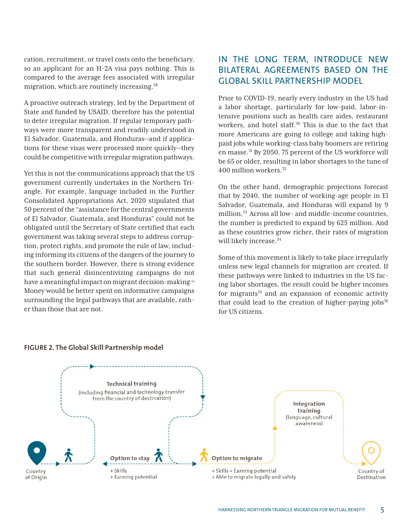<span id="page-4-0"></span>cation, recruitment, or travel costs onto the beneficiary, so an applicant for an H-2A visa pays nothing. This is compared to the average fees associated with irregular migration, which are routinely increasing[.28](#page-8-0)

A proactive outreach strategy, led by the Department of State and funded by USAID, therefore has the potential to deter irregular migration. If regular temporary pathways were more transparent and readily understood in El Salvador, Guatemala, and Honduras—and if applications for these visas were processed more quickly—they could be competitive with irregular migration pathways.

Yet this is not the communications approach that the US government currently undertakes in the Northern Triangle. For example, language included in the Further Consolidated Appropriations Act, 2020 stipulated that 50 percent of the "assistance for the central governments of El Salvador, Guatemala, and Honduras" could not be obligated until the Secretary of State certified that each government was taking several steps to address corruption, protect rights, and promote the rule of law, including informing its citizens of the dangers of the journey to the southern border. However, there is strong evidence that such general disincentivizing campaigns do not have a meaningful impact on migrant decision-making.<sup>[29](#page-8-0)</sup> Money would be better spent on informative campaigns surrounding the legal pathways that are available, rather than those that are not.

# IN THE LONG TERM, INTRODUCE NEW BILATERAL AGREEMENTS BASED ON THE GLOBAL SKILL PARTNERSHIP MODEL

Prior to COVID-19, nearly every industry in the US had a labor shortage, particularly for low-paid, labor-intensive positions such as health care aides, restaurant workers, and hotel staff.<sup>30</sup> This is due to the fact that more Americans are going to college and taking highpaid jobs while working-class baby boomers are retiring en masse[.31](#page-8-0) By 2050, 75 percent of the US workforce will be 65 or older, resulting in labor shortages to the tune of 400 million workers.[32](#page-8-0)

On the other hand, demographic projections forecast that by 2040, the number of working-age people in El Salvador, Guatemala, and Honduras will expand by 9 million.<sup>33</sup> Across all low- and middle-income countries, the number is predicted to expand by 625 million. And as these countries grow richer, their rates of migration will likely increase.<sup>[34](#page-8-0)</sup>

Some of this movement is likely to take place irregularly unless new legal channels for migration are created. If these pathways were linked to industries in the US facing labor shortages, the result could be higher incomes for migrants $35$  and an expansion of economic activity that could lead to the creation of higher-paying jobs $36$ for US citizens.



#### **FIGURE 2. The Global Skill Partnership model**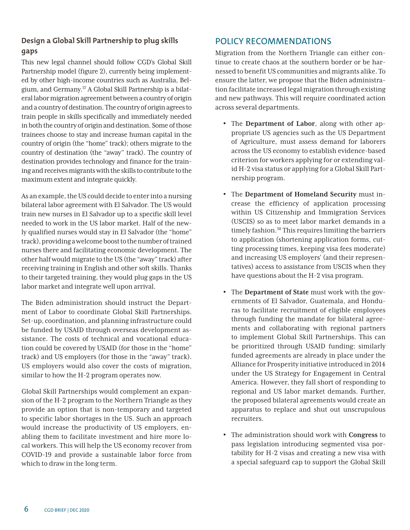#### <span id="page-5-0"></span>**Design a Global Skill Partnership to plug skills gaps**

This new legal channel should follow CGD's Global Skill Partnership model (figure 2), currently being implemented by other high-income countries such as Australia, Belgium, and Germany.<sup>37</sup> A Global Skill Partnership is a bilateral labor migration agreement between a country of origin and a country of destination. The country of origin agrees to train people in skills specifically and immediately needed in both the country of origin and destination. Some of those trainees choose to stay and increase human capital in the country of origin (the "home" track); others migrate to the country of destination (the "away" track). The country of destination provides technology and finance for the training and receives migrants with the skills to contribute to the maximum extent and integrate quickly.

As an example, the US could decide to enter into a nursing bilateral labor agreement with El Salvador. The US would train new nurses in El Salvador up to a specific skill level needed to work in the US labor market. Half of the newly qualified nurses would stay in El Salvador (the "home" track), providing a welcome boost to the number of trained nurses there and facilitating economic development. The other half would migrate to the US (the "away" track) after receiving training in English and other soft skills. Thanks to their targeted training, they would plug gaps in the US labor market and integrate well upon arrival.

The Biden administration should instruct the Department of Labor to coordinate Global Skill Partnerships. Set-up, coordination, and planning infrastructure could be funded by USAID through overseas development assistance. The costs of technical and vocational education could be covered by USAID (for those in the "home" track) and US employers (for those in the "away" track). US employers would also cover the costs of migration, similar to how the H-2 program operates now.

Global Skill Partnerships would complement an expansion of the H-2 program to the Northern Triangle as they provide an option that is non-temporary and targeted to specific labor shortages in the US. Such an approach would increase the productivity of US employers, enabling them to facilitate investment and hire more local workers. This will help the US economy recover from COVID-19 and provide a sustainable labor force from which to draw in the long term.

# POLICY RECOMMENDATIONS

Migration from the Northern Triangle can either continue to create chaos at the southern border or be harnessed to benefit US communities and migrants alike. To ensure the latter, we propose that the Biden administration facilitate increased legal migration through existing and new pathways. This will require coordinated action across several departments.

- The **Department of Labor**, along with other appropriate US agencies such as the US Department of Agriculture, must assess demand for laborers across the US economy to establish evidence-based criterion for workers applying for or extending valid H-2 visa status or applying for a Global Skill Partnership program.
- The **Department of Homeland Security** must increase the efficiency of application processing within US Citizenship and Immigration Services (USCIS) so as to meet labor market demands in a timely fashion.<sup>[38](#page-8-0)</sup> This requires limiting the barriers to application (shortening application forms, cutting processing times, keeping visa fees moderate) and increasing US employers' (and their representatives) access to assistance from USCIS when they have questions about the H-2 visa program.
- The **Department of State** must work with the governments of El Salvador, Guatemala, and Honduras to facilitate recruitment of eligible employees through funding the mandate for bilateral agreements and collaborating with regional partners to implement Global Skill Partnerships. This can be prioritized through USAID funding; similarly funded agreements are already in place under the Alliance for Prosperity initiative introduced in 2014 under the US Strategy for Engagement in Central America. However, they fall short of responding to regional and US labor market demands. Further, the proposed bilateral agreements would create an apparatus to replace and shut out unscrupulous recruiters.
- The administration should work with **Congress** to pass legislation introducing segmented visa portability for H-2 visas and creating a new visa with a special safeguard cap to support the Global Skill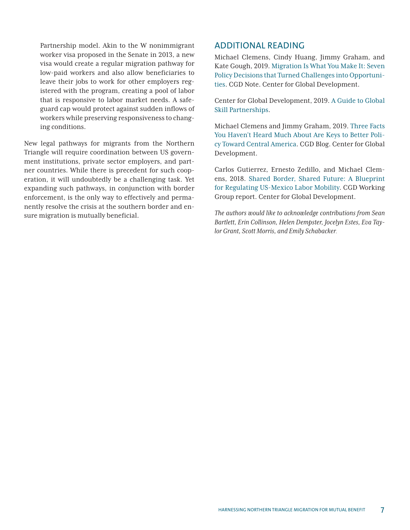Partnership model. Akin to the W nonimmigrant worker visa proposed in the Senate in 2013, a new visa would create a regular migration pathway for low-paid workers and also allow beneficiaries to leave their jobs to work for other employers registered with the program, creating a pool of labor that is responsive to labor market needs. A safeguard cap would protect against sudden inflows of workers while preserving responsiveness to changing conditions.

New legal pathways for migrants from the Northern Triangle will require coordination between US government institutions, private sector employers, and partner countries. While there is precedent for such cooperation, it will undoubtedly be a challenging task. Yet expanding such pathways, in conjunction with border enforcement, is the only way to effectively and permanently resolve the crisis at the southern border and ensure migration is mutually beneficial.

#### ADDITIONAL READING

Michael Clemens, Cindy Huang, Jimmy Graham, and Kate Gough, 2019. [Migration Is What You Make It: Seven](https://www.cgdev.org/publication/migration-what-you-make-it-seven-policy-decisions-turned-challenges-opportunities)  [Policy Decisions that Turned Challenges into Opportuni](https://www.cgdev.org/publication/migration-what-you-make-it-seven-policy-decisions-turned-challenges-opportunities)[ties](https://www.cgdev.org/publication/migration-what-you-make-it-seven-policy-decisions-turned-challenges-opportunities). CGD Note. Center for Global Development.

Center for Global Development, 2019. [A Guide to Global](https://www.cgdev.org/page/global-skill-partnerships)  [Skill Partnerships.](https://www.cgdev.org/page/global-skill-partnerships)

Michael Clemens and Jimmy Graham, 2019. [Three Facts](https://www.cgdev.org/blog/three-facts-you-havent-heard-much-about-are-keys-better-policy-toward-central-america)  [You Haven't Heard Much About Are Keys to Better Poli](https://www.cgdev.org/blog/three-facts-you-havent-heard-much-about-are-keys-better-policy-toward-central-america)[cy Toward Central America.](https://www.cgdev.org/blog/three-facts-you-havent-heard-much-about-are-keys-better-policy-toward-central-america) CGD Blog. Center for Global Development.

Carlos Gutierrez, Ernesto Zedillo, and Michael Clemens, 2018. [Shared Border, Shared Future: A Blueprint](https://www.cgdev.org/publication/sharedfuture)  [for Regulating US-Mexico Labor Mobility.](https://www.cgdev.org/publication/sharedfuture) CGD Working Group report. Center for Global Development.

*The authors would like to acknowledge contributions from Sean Bartlett, Erin Collinson, Helen Dempster, Jocelyn Estes, Eva Taylor Grant, Scott Morris, and Emily Schabacker.*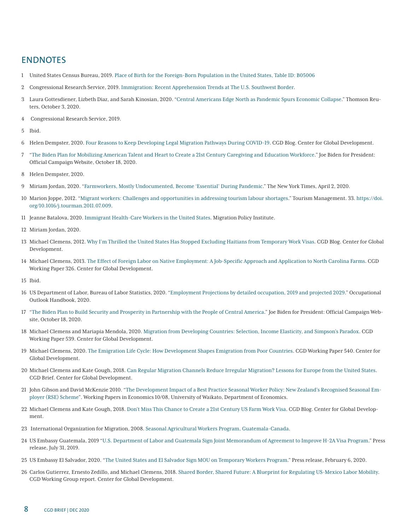#### <span id="page-7-0"></span>ENDNOTES

- United States Census Bureau, 2019. [Place of Birth for the Foreign-Born Population in the United States, Table ID: B05006](https://data.census.gov/cedsci/table?q=american%20community%20survey&t=Native%20and%20Foreign%20Born%3APlace%20of%20Birth%3APopulations%20and%20People&tid=ACSDT1Y2019.B05006&hidePreview=false)
- Congressional Research Service, 2019. [Immigration: Recent Apprehension Trends at The U.S. Southwest Border.](https://fas.org/sgp/crs/homesec/R46012.pdf)
- Laura Gottesdiener, Lizbeth Diaz, and Sarah Kinosian, 2020. ["Central Americans Edge North as Pandemic Spurs Economic Collapse](https://uk.reuters.com/article/instant-article/idUSKBN2701GL?emci=0fa709a8-eb0e-eb11-96f5-00155d03affc)." Thomson Reuters, October 3, 2020.
- Congressional Research Service, 2019.
- Ibid.
- Helen Dempster, 2020. [Four Reasons to Keep Developing Legal Migration Pathways During COVID-19.](https://www.cgdev.org/blog/four-reasons-keep-developing-legal-migration-pathways-during-covid-19) CGD Blog. Center for Global Development.
- "[The Biden Plan for Mobilizing American Talent and Heart to Create a 21st Century Caregiving and Education Workforce.](https://joebiden.com/caregiving/)" Joe Biden for President: Official Campaign Website, October 18, 2020.
- Helen Dempster, 2020.
- Miriam Jordan, 2020. "[Farmworkers, Mostly Undocumented, Become 'Essential' During Pandemic](https://www.nytimes.com/2020/04/02/us/coronavirus-undocumented-immigrant-farmworkers-agriculture.html)." The New York Times, April 2, 2020.
- Marion Joppe, 2012. "[Migrant workers: Challenges and opportunities in addressing tourism labour shortages](https://www.sciencedirect.com/science/article/abs/pii/S0261517711001518)." Tourism Management. 33. [https://doi.](https://doi.org/10.1016/j.tourman.2011.07.009) [org/10.1016/j.tourman.2011.07.009.](https://doi.org/10.1016/j.tourman.2011.07.009)
- Jeanne Batalova, 2020. [Immigrant Health-Care Workers in the United States](https://www.migrationpolicy.org/article/immigrant-health-care-workers-united-states-2018). Migration Policy Institute.
- Miriam Jordan, 2020.
- Michael Clemens, 2012. [Why I'm Thrilled the United States Has Stopped Excluding Haitians from Temporary Work Visas](https://www.cgdev.org/blog/why-i%E2%80%99m-thrilled-united-states-has-stopped-excluding-haitians-temporary-work-visas). CGD Blog. Center for Global Development.
- Michael Clemens, 2013. [The Effect of Foreign Labor on Native Employment: A Job-Specific Approach and Application to North Carolina Farms](https://www.cgdev.org/publication/effect-foreign-labor-native-employment-job-specific-approach-and-application-north). CGD Working Paper 326. Center for Global Development.
- Ibid.
- US Department of Labor, Bureau of Labor Statistics, 2020. ["Employment Projections by detailed occupation, 2019 and projected 2029.](https://www.bls.gov/emp/tables/emp-by-detailed-occupation.htm)" Occupational Outlook Handbook, 2020.
- "[The Biden Plan to Build Security and Prosperity in Partnership with the People of Central America.](https://joebiden.com/centralamerica/)" Joe Biden for President: Official Campaign Website, October 18, 2020.
- Michael Clemens and Mariapia Mendola, 2020. [Migration from Developing Countries: Selection, Income Elasticity, and Simpson's Paradox](https://www.cgdev.org/publication/migration-developing-countries-selection-income-elasticity-and-simpsons-paradox). CGD Working Paper 539. Center for Global Development.
- Michael Clemens, 2020. [The Emigration Life Cycle: How Development Shapes Emigration from Poor Countries](https://www.cgdev.org/publication/emigration-life-cycle-how-development-shapes-emigration-poor-countries). CGD Working Paper 540. Center for Global Development.
- Michael Clemens and Kate Gough, 2018. [Can Regular Migration Channels Reduce Irregular Migration? Lessons for Europe from the United States](https://www.cgdev.org/publication/can-regular-migration-channels-reduce-irregular-migration-lessons-europe-united-states). CGD Brief. Center for Global Development.
- John Gibson and David McKenzie 2010. "[The Development Impact of a Best Practice Seasonal Worker Policy: New Zealand's Recognised Seasonal Em](https://ideas.repec.org/p/wai/econwp/10-08.html)[ployer \(RSE\) Scheme](https://ideas.repec.org/p/wai/econwp/10-08.html)". Working Papers in Economics 10/08, University of Waikato, Department of Economics.
- Michael Clemens and Kate Gough, 2018. [Don't Miss This Chance to Create a 21st Century US Farm Work Visa](https://www.cgdev.org/blog/dont-miss-chance-create-21st-century-us-farm-work-visa). CGD Blog. Center for Global Development.
- International Organization for Migration, 2008. [Seasonal Agricultural Workers Program, Guatemala-Canada](https://www.iom.int/jahia/webdav/site/myjahiasite/shared/shared/mainsite/activities/countries/docs/guatemalan_seasonal_workers_summary08.pdf).
- US Embassy Guatemala, 2019 ["U.S. Department of Labor and Guatemala Sign Joint Memorandum of Agreement to Improve H-2A Visa Program](https://gt.usembassy.gov/u-s-department-of-labor-and-guatemala-sign-joint-memorandum-of-agreement-to-improve-h-2a-nonimmigrant-visa-program-operations/)." Press release, July 31, 2019.
- US Embassy El Salvador, 2020. "[The United States and El Salvador Sign MOU on Temporary Workers Program](https://sv.usembassy.gov/signing-of-mou-on-temporary-workers-program/)." Press release, February 6, 2020.
- Carlos Gutierrez, Ernesto Zedillo, and Michael Clemens[,](https://www.cgdev.org/publication/sharedfuture) 2018. [Shared Border, Shared Future: A Blueprint for Regulating US-Mexico Labor Mobility.](https://www.cgdev.org/publication/sharedfuture) CGD Working Group report. Center for Global Development.